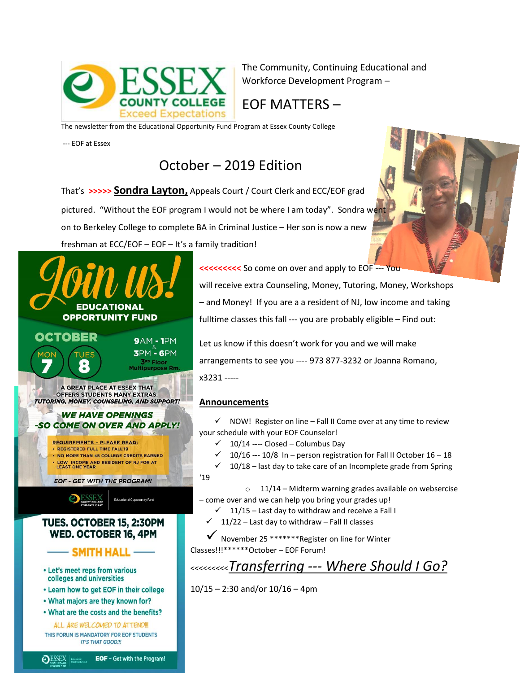

The Community, Continuing Educational and Workforce Development Program –

### EOF MATTERS –

The newsletter from the Educational Opportunity Fund Program at Essex County College

--- EOF at Essex

## October – 2019 Edition

That's **>>>>> Sondra Layton,** Appeals Court / Court Clerk and ECC/EOF grad pictured. "Without the EOF program I would not be where I am today". Sondra went on to Berkeley College to complete BA in Criminal Justice – Her son is now a new freshman at ECC/EOF – EOF – It's a family tradition!



**<<<<<<<< So come on over and apply to EOF --- Your** 

will receive extra Counseling, Money, Tutoring, Money, Workshops – and Money! If you are a a resident of NJ, low income and taking fulltime classes this fall --- you are probably eligible – Find out:

Let us know if this doesn't work for you and we will make arrangements to see you ---- 973 877-3232 or Joanna Romano, x3231 -----

#### **Announcements**

 $\checkmark$  NOW! Register on line – Fall II Come over at any time to review your schedule with your EOF Counselor!

- $\checkmark$  10/14 ---- Closed Columbus Day
- $\checkmark$  10/16 --- 10/8 In person registration for Fall II October 16 18
- $\checkmark$  10/18 last day to take care of an Incomplete grade from Spring
- '19

 $\circ$  11/14 – Midterm warning grades available on websercise – come over and we can help you bring your grades up!

 $\checkmark$  11/15 – Last day to withdraw and receive a Fall I

11/22 – Last day to withdraw – Fall II classes

 November 25 \*\*\*\*\*\*\*Register on line for Winter Classes!!!\*\*\*\*\*\*October – EOF Forum!

<<<<<<<<<*Transferring --- Where Should I Go?*

10/15 – 2:30 and/or 10/16 – 4pm